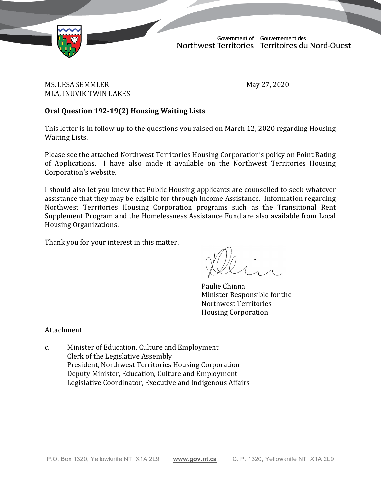

Government of Gouvernement des Northwest Territories Territoires du Nord-Ouest

TD 116-19(2) TABLED ON MAY 28, 2020

MS. LESA SEMMLER May 27, 2020 MLA, INUVIK TWIN LAKES

# **Oral Question 192-19(2) Housing Waiting Lists**

This letter is in follow up to the questions you raised on March 12, 2020 regarding Housing Waiting Lists.

Please see the attached Northwest Territories Housing Corporation's policy on Point Rating of Applications. I have also made it available on the Northwest Territories Housing Corporation's website.

I should also let you know that Public Housing applicants are counselled to seek whatever assistance that they may be eligible for through Income Assistance. Information regarding Northwest Territories Housing Corporation programs such as the Transitional Rent Supplement Program and the Homelessness Assistance Fund are also available from Local Housing Organizations.

Thank you for your interest in this matter.

Paulie Chinna Minister Responsible for the Northwest Territories Housing Corporation

Attachment

c. Minister of Education, Culture and Employment Clerk of the Legislative Assembly President, Northwest Territories Housing Corporation Deputy Minister, Education, Culture and Employment Legislative Coordinator, Executive and Indigenous Affairs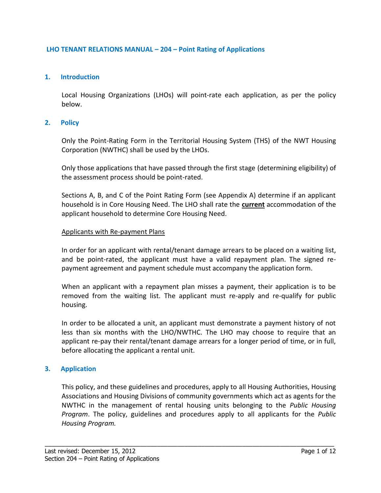### **LHO TENANT RELATIONS MANUAL – 204 – Point Rating of Applications**

#### **1. Introduction**

Local Housing Organizations (LHOs) will point-rate each application, as per the policy below.

#### **2. Policy**

Only the Point-Rating Form in the Territorial Housing System (THS) of the NWT Housing Corporation (NWTHC) shall be used by the LHOs.

Only those applications that have passed through the first stage (determining eligibility) of the assessment process should be point-rated.

Sections A, B, and C of the Point Rating Form (see Appendix A) determine if an applicant household is in Core Housing Need. The LHO shall rate the **current** accommodation of the applicant household to determine Core Housing Need.

#### Applicants with Re-payment Plans

In order for an applicant with rental/tenant damage arrears to be placed on a waiting list, and be point-rated, the applicant must have a valid repayment plan. The signed repayment agreement and payment schedule must accompany the application form.

When an applicant with a repayment plan misses a payment, their application is to be removed from the waiting list. The applicant must re-apply and re-qualify for public housing.

In order to be allocated a unit, an applicant must demonstrate a payment history of not less than six months with the LHO/NWTHC. The LHO may choose to require that an applicant re-pay their rental/tenant damage arrears for a longer period of time, or in full, before allocating the applicant a rental unit.

#### **3. Application**

This policy, and these guidelines and procedures, apply to all Housing Authorities, Housing Associations and Housing Divisions of community governments which act as agents for the NWTHC in the management of rental housing units belonging to the *Public Housing Program*. The policy, guidelines and procedures apply to all applicants for the *Public Housing Program.*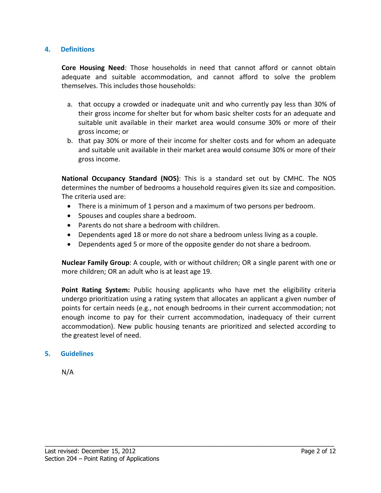### **4. Definitions**

**Core Housing Need**: Those households in need that cannot afford or cannot obtain adequate and suitable accommodation, and cannot afford to solve the problem themselves. This includes those households:

- a. that occupy a crowded or inadequate unit and who currently pay less than 30% of their gross income for shelter but for whom basic shelter costs for an adequate and suitable unit available in their market area would consume 30% or more of their gross income; or
- b. that pay 30% or more of their income for shelter costs and for whom an adequate and suitable unit available in their market area would consume 30% or more of their gross income.

**National Occupancy Standard (NOS)**: This is a standard set out by CMHC. The NOS determines the number of bedrooms a household requires given its size and composition. The criteria used are:

- There is a minimum of 1 person and a maximum of two persons per bedroom.
- Spouses and couples share a bedroom.
- Parents do not share a bedroom with children.
- Dependents aged 18 or more do not share a bedroom unless living as a couple.
- Dependents aged 5 or more of the opposite gender do not share a bedroom.

**Nuclear Family Group**: A couple, with or without children; OR a single parent with one or more children; OR an adult who is at least age 19.

**Point Rating System:** Public housing applicants who have met the eligibility criteria undergo prioritization using a rating system that allocates an applicant a given number of points for certain needs (e.g., not enough bedrooms in their current accommodation; not enough income to pay for their current accommodation, inadequacy of their current accommodation). New public housing tenants are prioritized and selected according to the greatest level of need.

\_\_\_\_\_\_\_\_\_\_\_\_\_\_\_\_\_\_\_\_\_\_\_\_\_\_\_\_\_\_\_\_\_\_\_\_\_\_\_\_\_\_\_\_\_\_\_\_\_\_\_\_\_\_\_\_\_\_\_\_\_\_\_\_\_\_\_\_\_\_\_\_\_\_\_\_\_\_\_\_\_\_\_\_\_

# **5. Guidelines**

N/A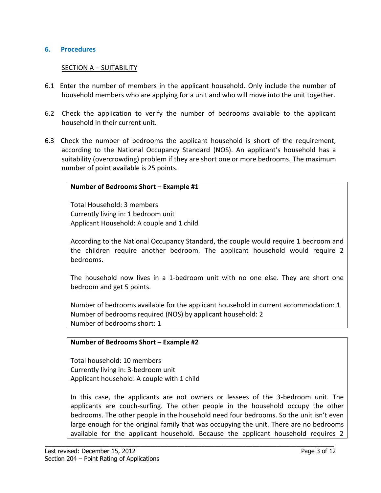### **6. Procedures**

### SECTION A – SUITABILITY

- 6.1 Enter the number of members in the applicant household. Only include the number of household members who are applying for a unit and who will move into the unit together.
- 6.2 Check the application to verify the number of bedrooms available to the applicant household in their current unit.
- 6.3 Check the number of bedrooms the applicant household is short of the requirement, according to the National Occupancy Standard (NOS). An applicant's household has a suitability (overcrowding) problem if they are short one or more bedrooms. The maximum number of point available is 25 points.

#### **Number of Bedrooms Short – Example #1**

Total Household: 3 members Currently living in: 1 bedroom unit Applicant Household: A couple and 1 child

According to the National Occupancy Standard, the couple would require 1 bedroom and the children require another bedroom. The applicant household would require 2 bedrooms.

The household now lives in a 1-bedroom unit with no one else. They are short one bedroom and get 5 points.

Number of bedrooms available for the applicant household in current accommodation: 1 Number of bedrooms required (NOS) by applicant household: 2 Number of bedrooms short: 1

#### **Number of Bedrooms Short – Example #2**

Total household: 10 members Currently living in: 3-bedroom unit Applicant household: A couple with 1 child

In this case, the applicants are not owners or lessees of the 3-bedroom unit. The applicants are couch-surfing. The other people in the household occupy the other bedrooms. The other people in the household need four bedrooms. So the unit isn't even large enough for the original family that was occupying the unit. There are no bedrooms available for the applicant household. Because the applicant household requires 2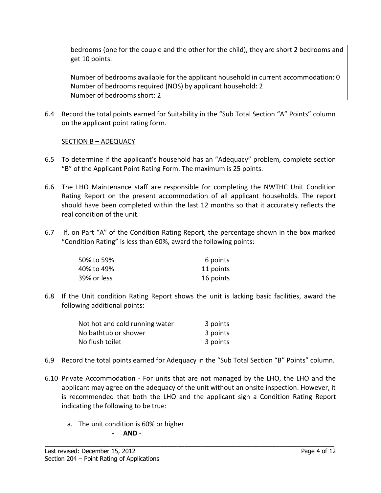bedrooms (one for the couple and the other for the child), they are short 2 bedrooms and get 10 points.

Number of bedrooms available for the applicant household in current accommodation: 0 Number of bedrooms required (NOS) by applicant household: 2 Number of bedrooms short: 2

6.4 Record the total points earned for Suitability in the "Sub Total Section "A" Points" column on the applicant point rating form.

# SECTION B – ADEQUACY

- 6.5 To determine if the applicant's household has an "Adequacy" problem, complete section "B" of the Applicant Point Rating Form. The maximum is 25 points.
- 6.6 The LHO Maintenance staff are responsible for completing the NWTHC Unit Condition Rating Report on the present accommodation of all applicant households. The report should have been completed within the last 12 months so that it accurately reflects the real condition of the unit.
- 6.7 If, on Part "A" of the Condition Rating Report, the percentage shown in the box marked "Condition Rating" is less than 60%, award the following points:

| 50% to 59%  | 6 points  |
|-------------|-----------|
| 40% to 49%  | 11 points |
| 39% or less | 16 points |

6.8 If the Unit condition Rating Report shows the unit is lacking basic facilities, award the following additional points:

| Not hot and cold running water | 3 points |
|--------------------------------|----------|
| No bathtub or shower           | 3 points |
| No flush toilet                | 3 points |

- 6.9 Record the total points earned for Adequacy in the "Sub Total Section "B" Points" column.
- 6.10 Private Accommodation For units that are not managed by the LHO, the LHO and the applicant may agree on the adequacy of the unit without an onsite inspection. However, it is recommended that both the LHO and the applicant sign a Condition Rating Report indicating the following to be true:

\_\_\_\_\_\_\_\_\_\_\_\_\_\_\_\_\_\_\_\_\_\_\_\_\_\_\_\_\_\_\_\_\_\_\_\_\_\_\_\_\_\_\_\_\_\_\_\_\_\_\_\_\_\_\_\_\_\_\_\_\_\_\_\_\_\_\_\_\_\_\_\_\_\_\_\_\_\_\_\_\_\_\_\_\_

a. The unit condition is 60% or higher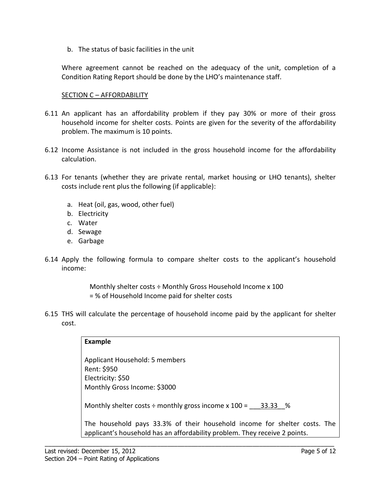b. The status of basic facilities in the unit

Where agreement cannot be reached on the adequacy of the unit, completion of a Condition Rating Report should be done by the LHO's maintenance staff.

## SECTION C - AFFORDABILITY

- 6.11 An applicant has an affordability problem if they pay 30% or more of their gross household income for shelter costs. Points are given for the severity of the affordability problem. The maximum is 10 points.
- 6.12 Income Assistance is not included in the gross household income for the affordability calculation.
- 6.13 For tenants (whether they are private rental, market housing or LHO tenants), shelter costs include rent plus the following (if applicable):
	- a. Heat (oil, gas, wood, other fuel)
	- b. Electricity
	- c. Water
	- d. Sewage
	- e. Garbage
- 6.14 Apply the following formula to compare shelter costs to the applicant's household income:

Monthly shelter costs ÷ Monthly Gross Household Income x 100 = % of Household Income paid for shelter costs

6.15 THS will calculate the percentage of household income paid by the applicant for shelter cost.

| <b>Example</b>                                                                                                                                          |
|---------------------------------------------------------------------------------------------------------------------------------------------------------|
| Applicant Household: 5 members<br>Rent: \$950<br>Electricity: \$50<br>Monthly Gross Income: \$3000                                                      |
| Monthly shelter costs $\div$ monthly gross income x 100 = 33.33 %                                                                                       |
| The household pays 33.3% of their household income for shelter costs. The<br>applicant's household has an affordability problem. They receive 2 points. |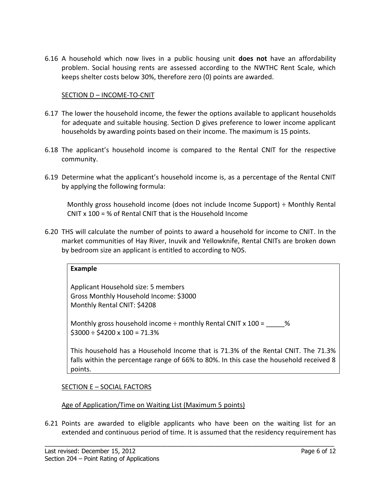6.16 A household which now lives in a public housing unit **does not** have an affordability problem. Social housing rents are assessed according to the NWTHC Rent Scale, which keeps shelter costs below 30%, therefore zero (0) points are awarded.

## SECTION D – INCOME-TO-CNIT

- 6.17 The lower the household income, the fewer the options available to applicant households for adequate and suitable housing. Section D gives preference to lower income applicant households by awarding points based on their income. The maximum is 15 points.
- 6.18 The applicant's household income is compared to the Rental CNIT for the respective community.
- 6.19 Determine what the applicant's household income is, as a percentage of the Rental CNIT by applying the following formula:

Monthly gross household income (does not include Income Support) ÷ Monthly Rental CNIT x 100 = % of Rental CNIT that is the Household Income

6.20 THS will calculate the number of points to award a household for income to CNIT. In the market communities of Hay River, Inuvik and Yellowknife, Rental CNITs are broken down by bedroom size an applicant is entitled to according to NOS.

#### **Example**

Applicant Household size: 5 members Gross Monthly Household Income: \$3000 Monthly Rental CNIT: \$4208

Monthly gross household income  $\div$  monthly Rental CNIT x 100 =  $\frac{1}{2}$ %  $$3000 \div $4200 \times 100 = 71.3\%$ 

This household has a Household Income that is 71.3% of the Rental CNIT. The 71.3% falls within the percentage range of 66% to 80%. In this case the household received 8 points.

#### SECTION E – SOCIAL FACTORS

#### Age of Application/Time on Waiting List (Maximum 5 points)

6.21 Points are awarded to eligible applicants who have been on the waiting list for an extended and continuous period of time. It is assumed that the residency requirement has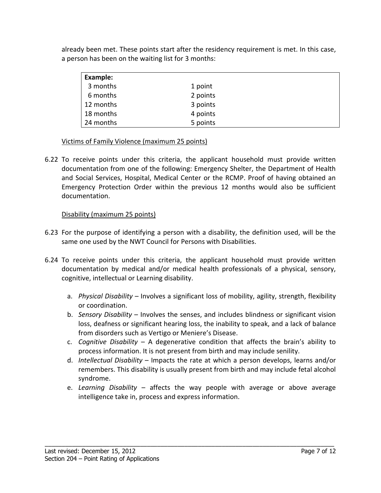already been met. These points start after the residency requirement is met. In this case, a person has been on the waiting list for 3 months:

| Example:  |          |  |
|-----------|----------|--|
| 3 months  | 1 point  |  |
| 6 months  | 2 points |  |
| 12 months | 3 points |  |
| 18 months | 4 points |  |
| 24 months | 5 points |  |

### Victims of Family Violence (maximum 25 points)

6.22 To receive points under this criteria, the applicant household must provide written documentation from one of the following: Emergency Shelter, the Department of Health and Social Services, Hospital, Medical Center or the RCMP. Proof of having obtained an Emergency Protection Order within the previous 12 months would also be sufficient documentation.

# Disability (maximum 25 points)

- 6.23 For the purpose of identifying a person with a disability, the definition used, will be the same one used by the NWT Council for Persons with Disabilities.
- 6.24 To receive points under this criteria, the applicant household must provide written documentation by medical and/or medical health professionals of a physical, sensory, cognitive, intellectual or Learning disability.
	- a. *Physical Disability* Involves a significant loss of mobility, agility, strength, flexibility or coordination.
	- b. *Sensory Disability* Involves the senses, and includes blindness or significant vision loss, deafness or significant hearing loss, the inability to speak, and a lack of balance from disorders such as Vertigo or Meniere's Disease.
	- c. *Cognitive Disability* A degenerative condition that affects the brain's ability to process information. It is not present from birth and may include senility.
	- d. *Intellectual Disability* Impacts the rate at which a person develops, learns and/or remembers. This disability is usually present from birth and may include fetal alcohol syndrome.
	- e. *Learning Disability* affects the way people with average or above average intelligence take in, process and express information.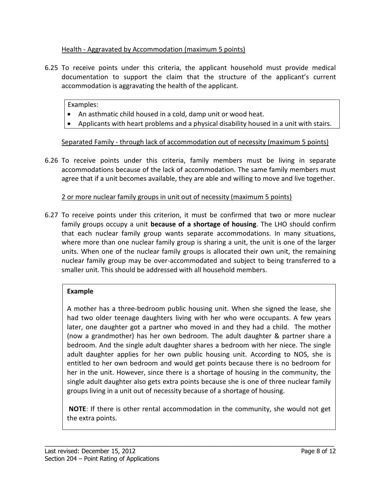# Health - Aggravated by Accommodation (maximum 5 points)

6.25 To receive points under this criteria, the applicant household must provide medical documentation to support the claim that the structure of the applicant's current accommodation is aggravating the health of the applicant.

### Examples:

- An asthmatic child housed in a cold, damp unit or wood heat.
- Applicants with heart problems and a physical disability housed in a unit with stairs.

Separated Family - through lack of accommodation out of necessity (maximum 5 points)

6.26 To receive points under this criteria, family members must be living in separate accommodations because of the lack of accommodation. The same family members must agree that if a unit becomes available, they are able and willing to move and live together.

# 2 or more nuclear family groups in unit out of necessity (maximum 5 points)

6.27 To receive points under this criterion, it must be confirmed that two or more nuclear family groups occupy a unit **because of a shortage of housing**. The LHO should confirm that each nuclear family group wants separate accommodations. In many situations, where more than one nuclear family group is sharing a unit, the unit is one of the larger units. When one of the nuclear family groups is allocated their own unit, the remaining nuclear family group may be over-accommodated and subject to being transferred to a smaller unit. This should be addressed with all household members.

# **Example**

A mother has a three-bedroom public housing unit. When she signed the lease, she had two older teenage daughters living with her who were occupants. A few years later, one daughter got a partner who moved in and they had a child. The mother (now a grandmother) has her own bedroom. The adult daughter & partner share a bedroom. And the single adult daughter shares a bedroom with her niece. The single adult daughter applies for her own public housing unit. According to NOS, she is entitled to her own bedroom and would get points because there is no bedroom for her in the unit. However, since there is a shortage of housing in the community, the single adult daughter also gets extra points because she is one of three nuclear family groups living in a unit out of necessity because of a shortage of housing.

**NOTE**: If there is other rental accommodation in the community, she would not get the extra points.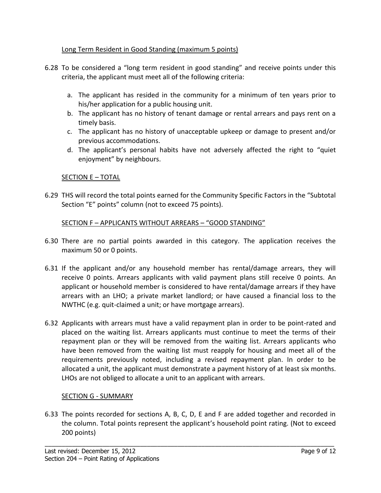# Long Term Resident in Good Standing (maximum 5 points)

- 6.28 To be considered a "long term resident in good standing" and receive points under this criteria, the applicant must meet all of the following criteria:
	- a. The applicant has resided in the community for a minimum of ten years prior to his/her application for a public housing unit.
	- b. The applicant has no history of tenant damage or rental arrears and pays rent on a timely basis.
	- c. The applicant has no history of unacceptable upkeep or damage to present and/or previous accommodations.
	- d. The applicant's personal habits have not adversely affected the right to "quiet enjoyment" by neighbours.

# SECTION E – TOTAL

6.29 THS will record the total points earned for the Community Specific Factors in the "Subtotal Section "E" points" column (not to exceed 75 points).

# SECTION F – APPLICANTS WITHOUT ARREARS – "GOOD STANDING"

- 6.30 There are no partial points awarded in this category. The application receives the maximum 50 or 0 points.
- 6.31 If the applicant and/or any household member has rental/damage arrears, they will receive 0 points. Arrears applicants with valid payment plans still receive 0 points. An applicant or household member is considered to have rental/damage arrears if they have arrears with an LHO; a private market landlord; or have caused a financial loss to the NWTHC (e.g. quit-claimed a unit; or have mortgage arrears).
- 6.32 Applicants with arrears must have a valid repayment plan in order to be point-rated and placed on the waiting list. Arrears applicants must continue to meet the terms of their repayment plan or they will be removed from the waiting list. Arrears applicants who have been removed from the waiting list must reapply for housing and meet all of the requirements previously noted, including a revised repayment plan. In order to be allocated a unit, the applicant must demonstrate a payment history of at least six months. LHOs are not obliged to allocate a unit to an applicant with arrears.

# SECTION G - SUMMARY

6.33 The points recorded for sections A, B, C, D, E and F are added together and recorded in the column. Total points represent the applicant's household point rating. (Not to exceed 200 points)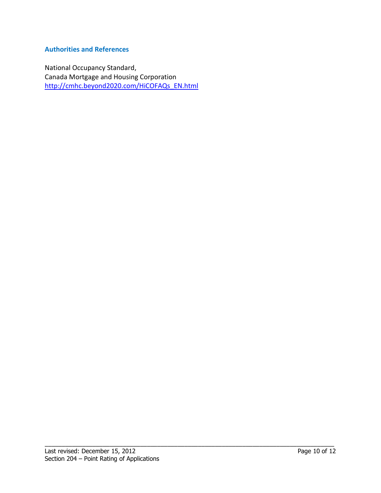# **Authorities and References**

National Occupancy Standard, Canada Mortgage and Housing Corporation [http://cmhc.beyond2020.com/HiCOFAQs\\_EN.html](http://cmhc.beyond2020.com/HiCOFAQs_EN.html)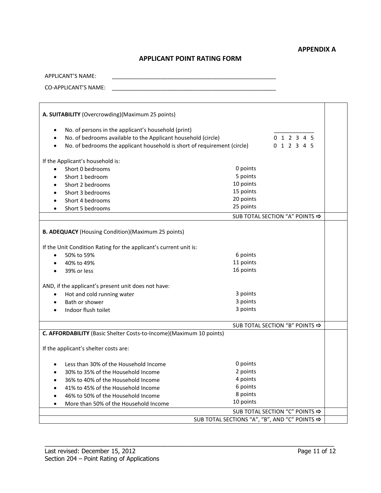# **APPLICANT POINT RATING FORM**

| APPLICANT'S NAME:                                |  |
|--------------------------------------------------|--|
| CO-APPLICANT'S NAME:                             |  |
|                                                  |  |
| A. SUITABILITY (Overcrowding)(Maximum 25 points) |  |

| No. of persons in the applicant's household (print)                      |                                                  |             |  |  |
|--------------------------------------------------------------------------|--------------------------------------------------|-------------|--|--|
| No. of bedrooms available to the Applicant household (circle)            |                                                  | 0 1 2 3 4 5 |  |  |
| No. of bedrooms the applicant household is short of requirement (circle) |                                                  | 0 1 2 3 4 5 |  |  |
| If the Applicant's household is:                                         |                                                  |             |  |  |
| Short 0 bedrooms<br>$\bullet$                                            | 0 points                                         |             |  |  |
| Short 1 bedroom<br>$\bullet$                                             | 5 points                                         |             |  |  |
| Short 2 bedrooms                                                         | 10 points                                        |             |  |  |
| Short 3 bedrooms                                                         | 15 points                                        |             |  |  |
| Short 4 bedrooms                                                         | 20 points                                        |             |  |  |
| Short 5 bedrooms                                                         | 25 points                                        |             |  |  |
|                                                                          | SUB TOTAL SECTION "A" POINTS <>>>                |             |  |  |
| <b>B. ADEQUACY</b> (Housing Condition) (Maximum 25 points)               |                                                  |             |  |  |
| If the Unit Condition Rating for the applicant's current unit is:        |                                                  |             |  |  |
| 50% to 59%<br>$\bullet$                                                  | 6 points                                         |             |  |  |
| 40% to 49%                                                               | 11 points                                        |             |  |  |
| 39% or less                                                              | 16 points                                        |             |  |  |
| AND, if the applicant's present unit does not have:                      |                                                  |             |  |  |
| Hot and cold running water<br>$\bullet$                                  | 3 points                                         |             |  |  |
| Bath or shower                                                           | 3 points                                         |             |  |  |
| Indoor flush toilet                                                      | 3 points                                         |             |  |  |
|                                                                          | SUB TOTAL SECTION "B" POINTS <>>>                |             |  |  |
| C. AFFORDABILITY (Basic Shelter Costs-to-Income)(Maximum 10 points)      |                                                  |             |  |  |
| If the applicant's shelter costs are:                                    |                                                  |             |  |  |
| Less than 30% of the Household Income                                    | 0 points                                         |             |  |  |
| 30% to 35% of the Household Income                                       | 2 points                                         |             |  |  |
| 36% to 40% of the Household Income                                       | 4 points                                         |             |  |  |
| 41% to 45% of the Household Income                                       | 6 points                                         |             |  |  |
| 46% to 50% of the Household Income                                       | 8 points                                         |             |  |  |
| More than 50% of the Household Income                                    | 10 points                                        |             |  |  |
|                                                                          | SUB TOTAL SECTION "C" POINTS <>>>                |             |  |  |
|                                                                          | SUB TOTAL SECTIONS "A", "B", AND "C" POINTS <>>> |             |  |  |
|                                                                          |                                                  |             |  |  |